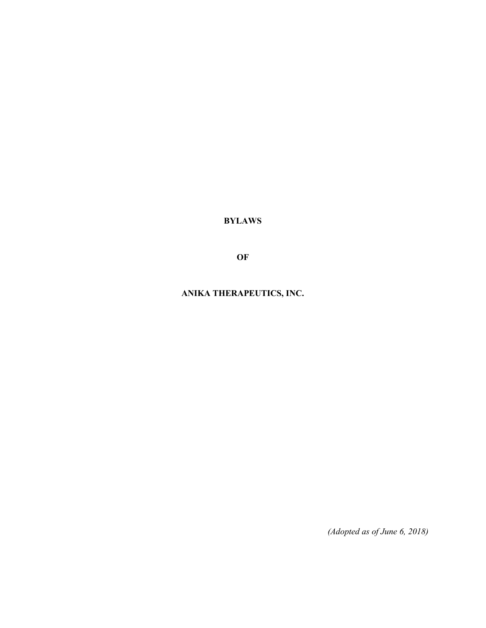**BYLAWS**

**OF**

**ANIKA THERAPEUTICS, INC.**

*(Adopted as of June 6, 2018)*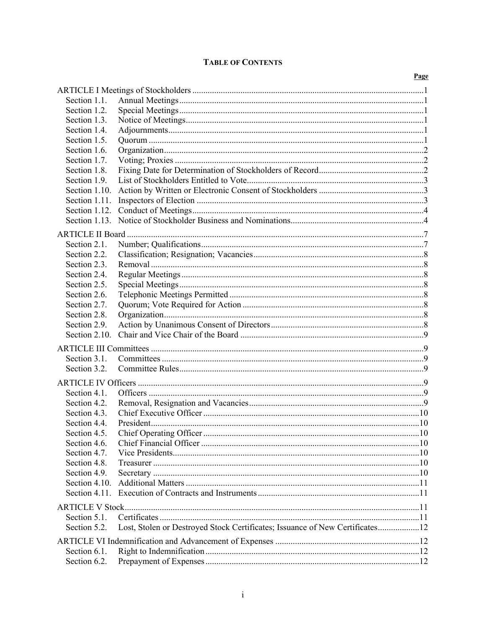# **TABLE OF CONTENTS**

|               |                                                                              | Page |
|---------------|------------------------------------------------------------------------------|------|
|               |                                                                              |      |
| Section 1.1.  |                                                                              |      |
| Section 1.2.  |                                                                              |      |
| Section 1.3.  |                                                                              |      |
| Section 1.4.  |                                                                              |      |
| Section 1.5.  |                                                                              |      |
| Section 1.6.  |                                                                              |      |
| Section 1.7.  |                                                                              |      |
| Section 1.8.  |                                                                              |      |
| Section 1.9.  |                                                                              |      |
| Section 1.10. |                                                                              |      |
| Section 1.11. |                                                                              |      |
| Section 1.12. |                                                                              |      |
|               |                                                                              |      |
|               |                                                                              |      |
| Section 2.1.  |                                                                              |      |
| Section 2.2.  |                                                                              |      |
| Section 2.3.  |                                                                              |      |
| Section 2.4.  |                                                                              |      |
| Section 2.5.  |                                                                              |      |
| Section 2.6.  |                                                                              |      |
| Section 2.7.  |                                                                              |      |
| Section 2.8.  |                                                                              |      |
| Section 2.9.  |                                                                              |      |
| Section 2.10. |                                                                              |      |
|               |                                                                              |      |
| Section 3.1.  |                                                                              |      |
| Section 3.2.  |                                                                              |      |
|               |                                                                              |      |
| Section 4.1.  |                                                                              |      |
| Section 4.2.  |                                                                              |      |
| Section 4.3.  |                                                                              |      |
| Section 4.4.  |                                                                              |      |
| Section 4.5.  |                                                                              |      |
| Section 4.6.  |                                                                              |      |
| Section 4.7.  |                                                                              |      |
| Section 4.8.  |                                                                              |      |
| Section 4.9.  |                                                                              |      |
| Section 4.10. |                                                                              |      |
|               |                                                                              |      |
|               |                                                                              |      |
| Section 5.1.  |                                                                              |      |
| Section 5.2.  | Lost, Stolen or Destroyed Stock Certificates; Issuance of New Certificates12 |      |
|               |                                                                              |      |
|               |                                                                              |      |
| Section 6.1.  |                                                                              |      |
| Section 6.2.  |                                                                              |      |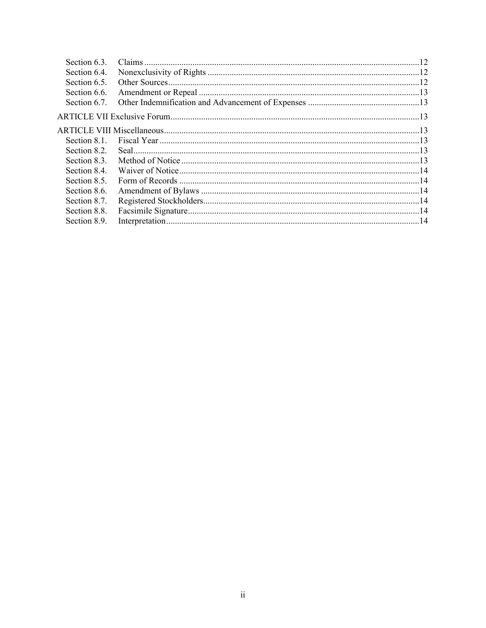| Section 6.3. |  |
|--------------|--|
| Section 6.4. |  |
| Section 6.5. |  |
| Section 6.6. |  |
| Section 6.7. |  |
|              |  |
|              |  |
| Section 8.1. |  |
| Section 8.2. |  |
| Section 8.3. |  |
| Section 8.4. |  |
| Section 8.5. |  |
| Section 8.6. |  |
| Section 8.7. |  |
| Section 8.8. |  |
| Section 8.9. |  |
|              |  |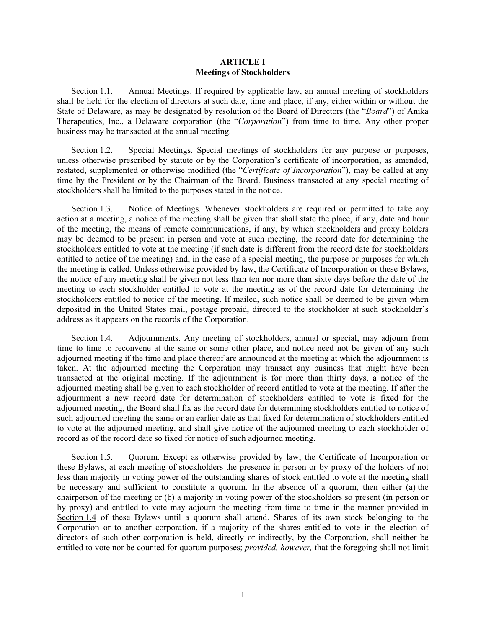# <span id="page-3-0"></span>**ARTICLE I Meetings of Stockholders**

<span id="page-3-1"></span>Section 1.1. Annual Meetings. If required by applicable law, an annual meeting of stockholders shall be held for the election of directors at such date, time and place, if any, either within or without the State of Delaware, as may be designated by resolution of the Board of Directors (the "*Board*") of Anika Therapeutics, Inc., a Delaware corporation (the "*Corporation*") from time to time. Any other proper business may be transacted at the annual meeting.

<span id="page-3-2"></span>Section 1.2. Special Meetings. Special meetings of stockholders for any purpose or purposes, unless otherwise prescribed by statute or by the Corporation's certificate of incorporation, as amended, restated, supplemented or otherwise modified (the "*Certificate of Incorporation*"), may be called at any time by the President or by the Chairman of the Board. Business transacted at any special meeting of stockholders shall be limited to the purposes stated in the notice.

<span id="page-3-3"></span>Section 1.3. Notice of Meetings. Whenever stockholders are required or permitted to take any action at a meeting, a notice of the meeting shall be given that shall state the place, if any, date and hour of the meeting, the means of remote communications, if any, by which stockholders and proxy holders may be deemed to be present in person and vote at such meeting, the record date for determining the stockholders entitled to vote at the meeting (if such date is different from the record date for stockholders entitled to notice of the meeting) and, in the case of a special meeting, the purpose or purposes for which the meeting is called. Unless otherwise provided by law, the Certificate of Incorporation or these Bylaws, the notice of any meeting shall be given not less than ten nor more than sixty days before the date of the meeting to each stockholder entitled to vote at the meeting as of the record date for determining the stockholders entitled to notice of the meeting. If mailed, such notice shall be deemed to be given when deposited in the United States mail, postage prepaid, directed to the stockholder at such stockholder's address as it appears on the records of the Corporation.

<span id="page-3-4"></span>Section 1.4. Adjournments. Any meeting of stockholders, annual or special, may adjourn from time to time to reconvene at the same or some other place, and notice need not be given of any such adjourned meeting if the time and place thereof are announced at the meeting at which the adjournment is taken. At the adjourned meeting the Corporation may transact any business that might have been transacted at the original meeting. If the adjournment is for more than thirty days, a notice of the adjourned meeting shall be given to each stockholder of record entitled to vote at the meeting. If after the adjournment a new record date for determination of stockholders entitled to vote is fixed for the adjourned meeting, the Board shall fix as the record date for determining stockholders entitled to notice of such adjourned meeting the same or an earlier date as that fixed for determination of stockholders entitled to vote at the adjourned meeting, and shall give notice of the adjourned meeting to each stockholder of record as of the record date so fixed for notice of such adjourned meeting.

<span id="page-3-5"></span>Section 1.5. Quorum. Except as otherwise provided by law, the Certificate of Incorporation or these Bylaws, at each meeting of stockholders the presence in person or by proxy of the holders of not less than majority in voting power of the outstanding shares of stock entitled to vote at the meeting shall be necessary and sufficient to constitute a quorum. In the absence of a quorum, then either (a) the chairperson of the meeting or (b) a majority in voting power of the stockholders so present (in person or by proxy) and entitled to vote may adjourn the meeting from time to time in the manner provided in Section 1.4 of these Bylaws until a quorum shall attend. Shares of its own stock belonging to the Corporation or to another corporation, if a majority of the shares entitled to vote in the election of directors of such other corporation is held, directly or indirectly, by the Corporation, shall neither be entitled to vote nor be counted for quorum purposes; *provided, however,* that the foregoing shall not limit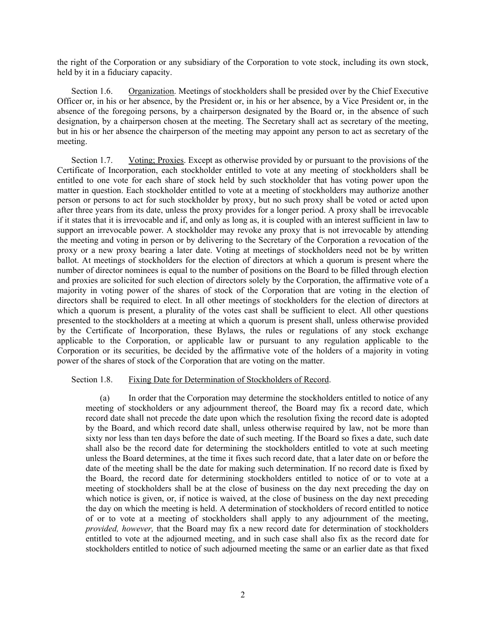the right of the Corporation or any subsidiary of the Corporation to vote stock, including its own stock, held by it in a fiduciary capacity.

<span id="page-4-0"></span>Section 1.6. Organization. Meetings of stockholders shall be presided over by the Chief Executive Officer or, in his or her absence, by the President or, in his or her absence, by a Vice President or, in the absence of the foregoing persons, by a chairperson designated by the Board or, in the absence of such designation, by a chairperson chosen at the meeting. The Secretary shall act as secretary of the meeting, but in his or her absence the chairperson of the meeting may appoint any person to act as secretary of the meeting.

<span id="page-4-1"></span>Section 1.7. Voting; Proxies. Except as otherwise provided by or pursuant to the provisions of the Certificate of Incorporation, each stockholder entitled to vote at any meeting of stockholders shall be entitled to one vote for each share of stock held by such stockholder that has voting power upon the matter in question. Each stockholder entitled to vote at a meeting of stockholders may authorize another person or persons to act for such stockholder by proxy, but no such proxy shall be voted or acted upon after three years from its date, unless the proxy provides for a longer period. A proxy shall be irrevocable if it states that it is irrevocable and if, and only as long as, it is coupled with an interest sufficient in law to support an irrevocable power. A stockholder may revoke any proxy that is not irrevocable by attending the meeting and voting in person or by delivering to the Secretary of the Corporation a revocation of the proxy or a new proxy bearing a later date. Voting at meetings of stockholders need not be by written ballot. At meetings of stockholders for the election of directors at which a quorum is present where the number of director nominees is equal to the number of positions on the Board to be filled through election and proxies are solicited for such election of directors solely by the Corporation, the affirmative vote of a majority in voting power of the shares of stock of the Corporation that are voting in the election of directors shall be required to elect. In all other meetings of stockholders for the election of directors at which a quorum is present, a plurality of the votes cast shall be sufficient to elect. All other questions presented to the stockholders at a meeting at which a quorum is present shall, unless otherwise provided by the Certificate of Incorporation, these Bylaws, the rules or regulations of any stock exchange applicable to the Corporation, or applicable law or pursuant to any regulation applicable to the Corporation or its securities, be decided by the affirmative vote of the holders of a majority in voting power of the shares of stock of the Corporation that are voting on the matter.

### <span id="page-4-2"></span>Section 1.8. Fixing Date for Determination of Stockholders of Record.

(a) In order that the Corporation may determine the stockholders entitled to notice of any meeting of stockholders or any adjournment thereof, the Board may fix a record date, which record date shall not precede the date upon which the resolution fixing the record date is adopted by the Board, and which record date shall, unless otherwise required by law, not be more than sixty nor less than ten days before the date of such meeting. If the Board so fixes a date, such date shall also be the record date for determining the stockholders entitled to vote at such meeting unless the Board determines, at the time it fixes such record date, that a later date on or before the date of the meeting shall be the date for making such determination. If no record date is fixed by the Board, the record date for determining stockholders entitled to notice of or to vote at a meeting of stockholders shall be at the close of business on the day next preceding the day on which notice is given, or, if notice is waived, at the close of business on the day next preceding the day on which the meeting is held. A determination of stockholders of record entitled to notice of or to vote at a meeting of stockholders shall apply to any adjournment of the meeting, *provided, however,* that the Board may fix a new record date for determination of stockholders entitled to vote at the adjourned meeting, and in such case shall also fix as the record date for stockholders entitled to notice of such adjourned meeting the same or an earlier date as that fixed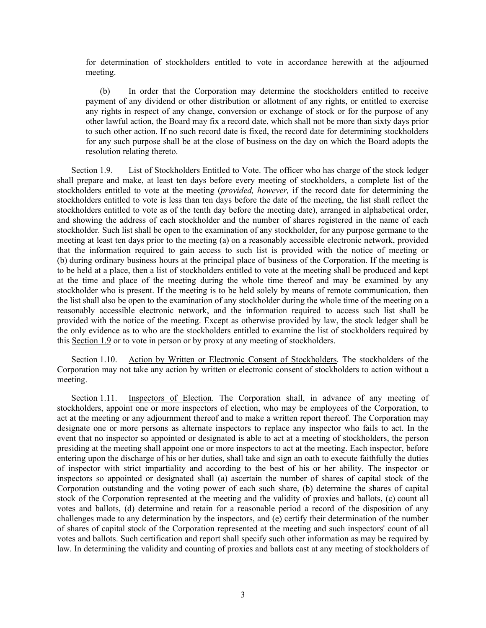for determination of stockholders entitled to vote in accordance herewith at the adjourned meeting.

(b) In order that the Corporation may determine the stockholders entitled to receive payment of any dividend or other distribution or allotment of any rights, or entitled to exercise any rights in respect of any change, conversion or exchange of stock or for the purpose of any other lawful action, the Board may fix a record date, which shall not be more than sixty days prior to such other action. If no such record date is fixed, the record date for determining stockholders for any such purpose shall be at the close of business on the day on which the Board adopts the resolution relating thereto.

<span id="page-5-0"></span>Section 1.9. List of Stockholders Entitled to Vote. The officer who has charge of the stock ledger shall prepare and make, at least ten days before every meeting of stockholders, a complete list of the stockholders entitled to vote at the meeting (*provided, however,* if the record date for determining the stockholders entitled to vote is less than ten days before the date of the meeting, the list shall reflect the stockholders entitled to vote as of the tenth day before the meeting date), arranged in alphabetical order, and showing the address of each stockholder and the number of shares registered in the name of each stockholder. Such list shall be open to the examination of any stockholder, for any purpose germane to the meeting at least ten days prior to the meeting (a) on a reasonably accessible electronic network, provided that the information required to gain access to such list is provided with the notice of meeting or (b) during ordinary business hours at the principal place of business of the Corporation. If the meeting is to be held at a place, then a list of stockholders entitled to vote at the meeting shall be produced and kept at the time and place of the meeting during the whole time thereof and may be examined by any stockholder who is present. If the meeting is to be held solely by means of remote communication, then the list shall also be open to the examination of any stockholder during the whole time of the meeting on a reasonably accessible electronic network, and the information required to access such list shall be provided with the notice of the meeting. Except as otherwise provided by law, the stock ledger shall be the only evidence as to who are the stockholders entitled to examine the list of stockholders required by this Section 1.9 or to vote in person or by proxy at any meeting of stockholders.

<span id="page-5-1"></span>Section 1.10. Action by Written or Electronic Consent of Stockholders. The stockholders of the Corporation may not take any action by written or electronic consent of stockholders to action without a meeting.

<span id="page-5-2"></span>Section 1.11. Inspectors of Election. The Corporation shall, in advance of any meeting of stockholders, appoint one or more inspectors of election, who may be employees of the Corporation, to act at the meeting or any adjournment thereof and to make a written report thereof. The Corporation may designate one or more persons as alternate inspectors to replace any inspector who fails to act. In the event that no inspector so appointed or designated is able to act at a meeting of stockholders, the person presiding at the meeting shall appoint one or more inspectors to act at the meeting. Each inspector, before entering upon the discharge of his or her duties, shall take and sign an oath to execute faithfully the duties of inspector with strict impartiality and according to the best of his or her ability. The inspector or inspectors so appointed or designated shall (a) ascertain the number of shares of capital stock of the Corporation outstanding and the voting power of each such share, (b) determine the shares of capital stock of the Corporation represented at the meeting and the validity of proxies and ballots, (c) count all votes and ballots, (d) determine and retain for a reasonable period a record of the disposition of any challenges made to any determination by the inspectors, and (e) certify their determination of the number of shares of capital stock of the Corporation represented at the meeting and such inspectors' count of all votes and ballots. Such certification and report shall specify such other information as may be required by law. In determining the validity and counting of proxies and ballots cast at any meeting of stockholders of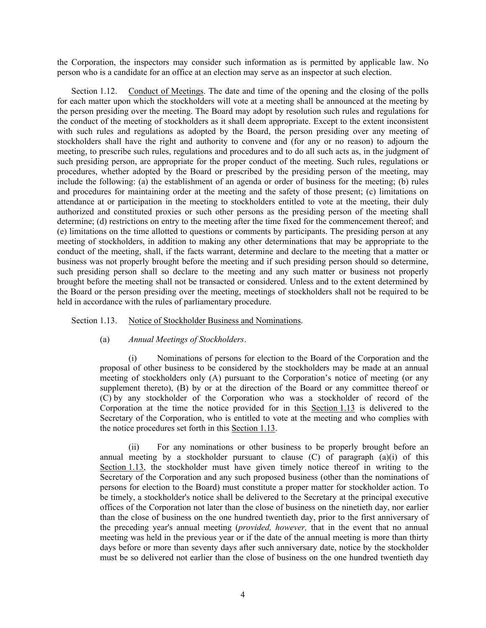the Corporation, the inspectors may consider such information as is permitted by applicable law. No person who is a candidate for an office at an election may serve as an inspector at such election.

<span id="page-6-0"></span>Section 1.12. Conduct of Meetings. The date and time of the opening and the closing of the polls for each matter upon which the stockholders will vote at a meeting shall be announced at the meeting by the person presiding over the meeting. The Board may adopt by resolution such rules and regulations for the conduct of the meeting of stockholders as it shall deem appropriate. Except to the extent inconsistent with such rules and regulations as adopted by the Board, the person presiding over any meeting of stockholders shall have the right and authority to convene and (for any or no reason) to adjourn the meeting, to prescribe such rules, regulations and procedures and to do all such acts as, in the judgment of such presiding person, are appropriate for the proper conduct of the meeting. Such rules, regulations or procedures, whether adopted by the Board or prescribed by the presiding person of the meeting, may include the following: (a) the establishment of an agenda or order of business for the meeting; (b) rules and procedures for maintaining order at the meeting and the safety of those present; (c) limitations on attendance at or participation in the meeting to stockholders entitled to vote at the meeting, their duly authorized and constituted proxies or such other persons as the presiding person of the meeting shall determine; (d) restrictions on entry to the meeting after the time fixed for the commencement thereof; and (e) limitations on the time allotted to questions or comments by participants. The presiding person at any meeting of stockholders, in addition to making any other determinations that may be appropriate to the conduct of the meeting, shall, if the facts warrant, determine and declare to the meeting that a matter or business was not properly brought before the meeting and if such presiding person should so determine, such presiding person shall so declare to the meeting and any such matter or business not properly brought before the meeting shall not be transacted or considered. Unless and to the extent determined by the Board or the person presiding over the meeting, meetings of stockholders shall not be required to be held in accordance with the rules of parliamentary procedure.

### <span id="page-6-1"></span>Section 1.13. Notice of Stockholder Business and Nominations.

#### (a) *Annual Meetings of Stockholders*.

(i) Nominations of persons for election to the Board of the Corporation and the proposal of other business to be considered by the stockholders may be made at an annual meeting of stockholders only (A) pursuant to the Corporation's notice of meeting (or any supplement thereto), (B) by or at the direction of the Board or any committee thereof or (C) by any stockholder of the Corporation who was a stockholder of record of the Corporation at the time the notice provided for in this Section 1.13 is delivered to the Secretary of the Corporation, who is entitled to vote at the meeting and who complies with the notice procedures set forth in this Section 1.13.

(ii) For any nominations or other business to be properly brought before an annual meeting by a stockholder pursuant to clause  $(C)$  of paragraph  $(a)(i)$  of this Section 1.13, the stockholder must have given timely notice thereof in writing to the Secretary of the Corporation and any such proposed business (other than the nominations of persons for election to the Board) must constitute a proper matter for stockholder action. To be timely, a stockholder's notice shall be delivered to the Secretary at the principal executive offices of the Corporation not later than the close of business on the ninetieth day, nor earlier than the close of business on the one hundred twentieth day, prior to the first anniversary of the preceding year's annual meeting (*provided, however,* that in the event that no annual meeting was held in the previous year or if the date of the annual meeting is more than thirty days before or more than seventy days after such anniversary date, notice by the stockholder must be so delivered not earlier than the close of business on the one hundred twentieth day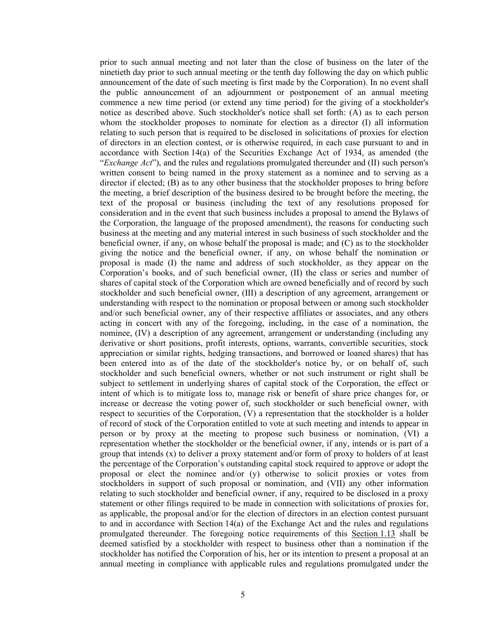prior to such annual meeting and not later than the close of business on the later of the ninetieth day prior to such annual meeting or the tenth day following the day on which public announcement of the date of such meeting is first made by the Corporation). In no event shall the public announcement of an adjournment or postponement of an annual meeting commence a new time period (or extend any time period) for the giving of a stockholder's notice as described above. Such stockholder's notice shall set forth: (A) as to each person whom the stockholder proposes to nominate for election as a director (I) all information relating to such person that is required to be disclosed in solicitations of proxies for election of directors in an election contest, or is otherwise required, in each case pursuant to and in accordance with Section 14(a) of the Securities Exchange Act of 1934, as amended (the "*Exchange Act*"), and the rules and regulations promulgated thereunder and (II) such person's written consent to being named in the proxy statement as a nominee and to serving as a director if elected; (B) as to any other business that the stockholder proposes to bring before the meeting, a brief description of the business desired to be brought before the meeting, the text of the proposal or business (including the text of any resolutions proposed for consideration and in the event that such business includes a proposal to amend the Bylaws of the Corporation, the language of the proposed amendment), the reasons for conducting such business at the meeting and any material interest in such business of such stockholder and the beneficial owner, if any, on whose behalf the proposal is made; and (C) as to the stockholder giving the notice and the beneficial owner, if any, on whose behalf the nomination or proposal is made (I) the name and address of such stockholder, as they appear on the Corporation's books, and of such beneficial owner, (II) the class or series and number of shares of capital stock of the Corporation which are owned beneficially and of record by such stockholder and such beneficial owner, (III) a description of any agreement, arrangement or understanding with respect to the nomination or proposal between or among such stockholder and/or such beneficial owner, any of their respective affiliates or associates, and any others acting in concert with any of the foregoing, including, in the case of a nomination, the nominee, (IV) a description of any agreement, arrangement or understanding (including any derivative or short positions, profit interests, options, warrants, convertible securities, stock appreciation or similar rights, hedging transactions, and borrowed or loaned shares) that has been entered into as of the date of the stockholder's notice by, or on behalf of, such stockholder and such beneficial owners, whether or not such instrument or right shall be subject to settlement in underlying shares of capital stock of the Corporation, the effect or intent of which is to mitigate loss to, manage risk or benefit of share price changes for, or increase or decrease the voting power of, such stockholder or such beneficial owner, with respect to securities of the Corporation, (V) a representation that the stockholder is a holder of record of stock of the Corporation entitled to vote at such meeting and intends to appear in person or by proxy at the meeting to propose such business or nomination, (VI) a representation whether the stockholder or the beneficial owner, if any, intends or is part of a group that intends (x) to deliver a proxy statement and/or form of proxy to holders of at least the percentage of the Corporation's outstanding capital stock required to approve or adopt the proposal or elect the nominee and/or (y) otherwise to solicit proxies or votes from stockholders in support of such proposal or nomination, and (VII) any other information relating to such stockholder and beneficial owner, if any, required to be disclosed in a proxy statement or other filings required to be made in connection with solicitations of proxies for, as applicable, the proposal and/or for the election of directors in an election contest pursuant to and in accordance with Section  $14(a)$  of the Exchange Act and the rules and regulations promulgated thereunder. The foregoing notice requirements of this Section 1.13 shall be deemed satisfied by a stockholder with respect to business other than a nomination if the stockholder has notified the Corporation of his, her or its intention to present a proposal at an annual meeting in compliance with applicable rules and regulations promulgated under the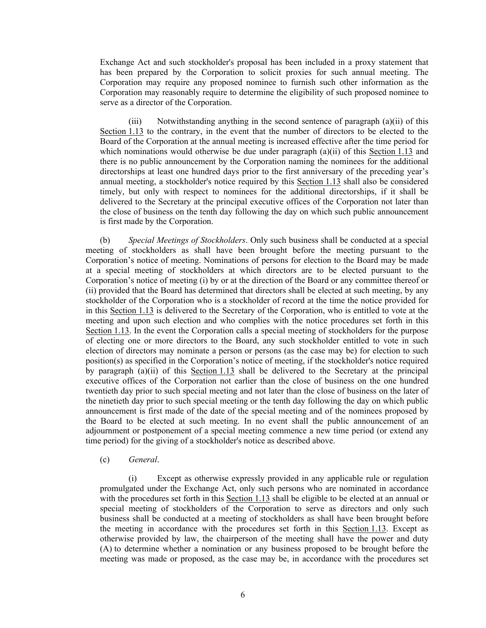Exchange Act and such stockholder's proposal has been included in a proxy statement that has been prepared by the Corporation to solicit proxies for such annual meeting. The Corporation may require any proposed nominee to furnish such other information as the Corporation may reasonably require to determine the eligibility of such proposed nominee to serve as a director of the Corporation.

(iii) Notwithstanding anything in the second sentence of paragraph (a)(ii) of this Section 1.13 to the contrary, in the event that the number of directors to be elected to the Board of the Corporation at the annual meeting is increased effective after the time period for which nominations would otherwise be due under paragraph  $(a)(ii)$  of this Section 1.13 and there is no public announcement by the Corporation naming the nominees for the additional directorships at least one hundred days prior to the first anniversary of the preceding year's annual meeting, a stockholder's notice required by this Section 1.13 shall also be considered timely, but only with respect to nominees for the additional directorships, if it shall be delivered to the Secretary at the principal executive offices of the Corporation not later than the close of business on the tenth day following the day on which such public announcement is first made by the Corporation.

(b) *Special Meetings of Stockholders*. Only such business shall be conducted at a special meeting of stockholders as shall have been brought before the meeting pursuant to the Corporation's notice of meeting. Nominations of persons for election to the Board may be made at a special meeting of stockholders at which directors are to be elected pursuant to the Corporation's notice of meeting (i) by or at the direction of the Board or any committee thereof or (ii) provided that the Board has determined that directors shall be elected at such meeting, by any stockholder of the Corporation who is a stockholder of record at the time the notice provided for in this Section 1.13 is delivered to the Secretary of the Corporation, who is entitled to vote at the meeting and upon such election and who complies with the notice procedures set forth in this Section 1.13. In the event the Corporation calls a special meeting of stockholders for the purpose of electing one or more directors to the Board, any such stockholder entitled to vote in such election of directors may nominate a person or persons (as the case may be) for election to such position(s) as specified in the Corporation's notice of meeting, if the stockholder's notice required by paragraph (a)(ii) of this Section 1.13 shall be delivered to the Secretary at the principal executive offices of the Corporation not earlier than the close of business on the one hundred twentieth day prior to such special meeting and not later than the close of business on the later of the ninetieth day prior to such special meeting or the tenth day following the day on which public announcement is first made of the date of the special meeting and of the nominees proposed by the Board to be elected at such meeting. In no event shall the public announcement of an adjournment or postponement of a special meeting commence a new time period (or extend any time period) for the giving of a stockholder's notice as described above.

### (c) *General*.

(i) Except as otherwise expressly provided in any applicable rule or regulation promulgated under the Exchange Act, only such persons who are nominated in accordance with the procedures set forth in this Section 1.13 shall be eligible to be elected at an annual or special meeting of stockholders of the Corporation to serve as directors and only such business shall be conducted at a meeting of stockholders as shall have been brought before the meeting in accordance with the procedures set forth in this Section 1.13. Except as otherwise provided by law, the chairperson of the meeting shall have the power and duty (A) to determine whether a nomination or any business proposed to be brought before the meeting was made or proposed, as the case may be, in accordance with the procedures set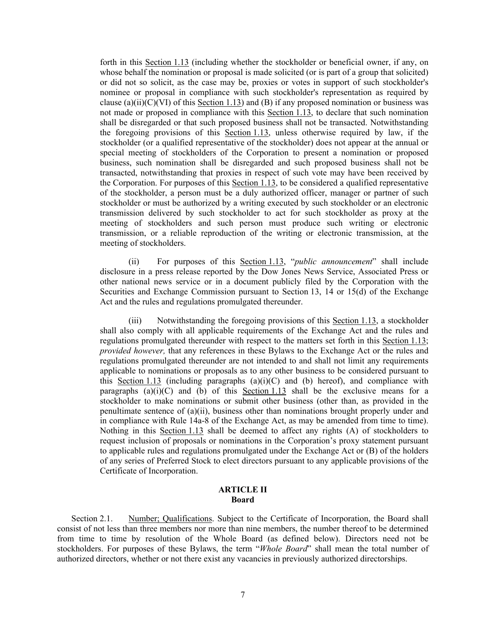forth in this Section 1.13 (including whether the stockholder or beneficial owner, if any, on whose behalf the nomination or proposal is made solicited (or is part of a group that solicited) or did not so solicit, as the case may be, proxies or votes in support of such stockholder's nominee or proposal in compliance with such stockholder's representation as required by clause (a)(ii)(C)(VI) of this Section 1.13) and (B) if any proposed nomination or business was not made or proposed in compliance with this Section 1.13, to declare that such nomination shall be disregarded or that such proposed business shall not be transacted. Notwithstanding the foregoing provisions of this Section 1.13, unless otherwise required by law, if the stockholder (or a qualified representative of the stockholder) does not appear at the annual or special meeting of stockholders of the Corporation to present a nomination or proposed business, such nomination shall be disregarded and such proposed business shall not be transacted, notwithstanding that proxies in respect of such vote may have been received by the Corporation. For purposes of this Section 1.13, to be considered a qualified representative of the stockholder, a person must be a duly authorized officer, manager or partner of such stockholder or must be authorized by a writing executed by such stockholder or an electronic transmission delivered by such stockholder to act for such stockholder as proxy at the meeting of stockholders and such person must produce such writing or electronic transmission, or a reliable reproduction of the writing or electronic transmission, at the meeting of stockholders.

(ii) For purposes of this Section 1.13, "*public announcement*" shall include disclosure in a press release reported by the Dow Jones News Service, Associated Press or other national news service or in a document publicly filed by the Corporation with the Securities and Exchange Commission pursuant to Section 13, 14 or 15(d) of the Exchange Act and the rules and regulations promulgated thereunder.

(iii) Notwithstanding the foregoing provisions of this Section 1.13, a stockholder shall also comply with all applicable requirements of the Exchange Act and the rules and regulations promulgated thereunder with respect to the matters set forth in this Section 1.13; *provided however,* that any references in these Bylaws to the Exchange Act or the rules and regulations promulgated thereunder are not intended to and shall not limit any requirements applicable to nominations or proposals as to any other business to be considered pursuant to this Section 1.13 (including paragraphs  $(a)(i)(C)$  and (b) hereof), and compliance with paragraphs  $(a)(i)(C)$  and (b) of this Section 1.13 shall be the exclusive means for a stockholder to make nominations or submit other business (other than, as provided in the penultimate sentence of (a)(ii), business other than nominations brought properly under and in compliance with Rule 14a-8 of the Exchange Act, as may be amended from time to time). Nothing in this Section 1.13 shall be deemed to affect any rights (A) of stockholders to request inclusion of proposals or nominations in the Corporation's proxy statement pursuant to applicable rules and regulations promulgated under the Exchange Act or (B) of the holders of any series of Preferred Stock to elect directors pursuant to any applicable provisions of the Certificate of Incorporation.

### <span id="page-9-0"></span>**ARTICLE II Board**

<span id="page-9-1"></span>Section 2.1. Number; Qualifications. Subject to the Certificate of Incorporation, the Board shall consist of not less than three members nor more than nine members, the number thereof to be determined from time to time by resolution of the Whole Board (as defined below). Directors need not be stockholders. For purposes of these Bylaws, the term "*Whole Board*" shall mean the total number of authorized directors, whether or not there exist any vacancies in previously authorized directorships.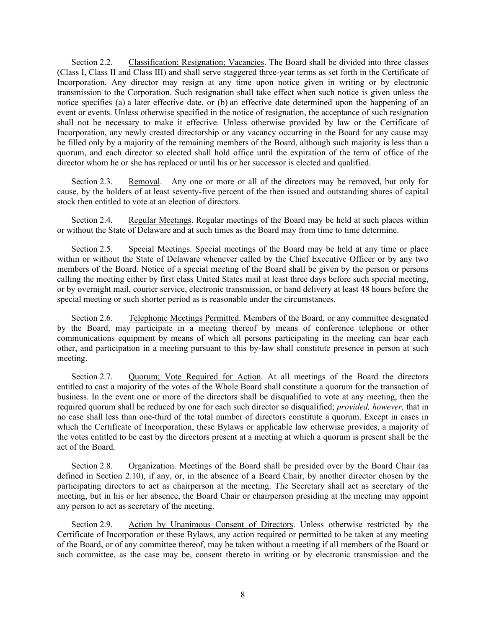<span id="page-10-0"></span>Section 2.2. Classification; Resignation; Vacancies. The Board shall be divided into three classes (Class I, Class II and Class III) and shall serve staggered three-year terms as set forth in the Certificate of Incorporation. Any director may resign at any time upon notice given in writing or by electronic transmission to the Corporation. Such resignation shall take effect when such notice is given unless the notice specifies (a) a later effective date, or (b) an effective date determined upon the happening of an event or events. Unless otherwise specified in the notice of resignation, the acceptance of such resignation shall not be necessary to make it effective. Unless otherwise provided by law or the Certificate of Incorporation, any newly created directorship or any vacancy occurring in the Board for any cause may be filled only by a majority of the remaining members of the Board, although such majority is less than a quorum, and each director so elected shall hold office until the expiration of the term of office of the director whom he or she has replaced or until his or her successor is elected and qualified.

<span id="page-10-1"></span>Section 2.3. Removal. Any one or more or all of the directors may be removed, but only for cause, by the holders of at least seventy-five percent of the then issued and outstanding shares of capital stock then entitled to vote at an election of directors.

<span id="page-10-2"></span>Section 2.4. Regular Meetings. Regular meetings of the Board may be held at such places within or without the State of Delaware and at such times as the Board may from time to time determine.

<span id="page-10-3"></span>Section 2.5. Special Meetings. Special meetings of the Board may be held at any time or place within or without the State of Delaware whenever called by the Chief Executive Officer or by any two members of the Board. Notice of a special meeting of the Board shall be given by the person or persons calling the meeting either by first class United States mail at least three days before such special meeting, or by overnight mail, courier service, electronic transmission, or hand delivery at least 48 hours before the special meeting or such shorter period as is reasonable under the circumstances.

<span id="page-10-4"></span>Section 2.6. Telephonic Meetings Permitted. Members of the Board, or any committee designated by the Board, may participate in a meeting thereof by means of conference telephone or other communications equipment by means of which all persons participating in the meeting can hear each other, and participation in a meeting pursuant to this by-law shall constitute presence in person at such meeting.

<span id="page-10-5"></span>Section 2.7. Quorum; Vote Required for Action. At all meetings of the Board the directors entitled to cast a majority of the votes of the Whole Board shall constitute a quorum for the transaction of business. In the event one or more of the directors shall be disqualified to vote at any meeting, then the required quorum shall be reduced by one for each such director so disqualified; *provided, however,* that in no case shall less than one-third of the total number of directors constitute a quorum. Except in cases in which the Certificate of Incorporation, these Bylaws or applicable law otherwise provides, a majority of the votes entitled to be cast by the directors present at a meeting at which a quorum is present shall be the act of the Board.

<span id="page-10-6"></span>Section 2.8. Organization. Meetings of the Board shall be presided over by the Board Chair (as defined in Section 2.10), if any, or, in the absence of a Board Chair, by another director chosen by the participating directors to act as chairperson at the meeting. The Secretary shall act as secretary of the meeting, but in his or her absence, the Board Chair or chairperson presiding at the meeting may appoint any person to act as secretary of the meeting.

<span id="page-10-7"></span>Section 2.9. Action by Unanimous Consent of Directors. Unless otherwise restricted by the Certificate of Incorporation or these Bylaws, any action required or permitted to be taken at any meeting of the Board, or of any committee thereof, may be taken without a meeting if all members of the Board or such committee, as the case may be, consent thereto in writing or by electronic transmission and the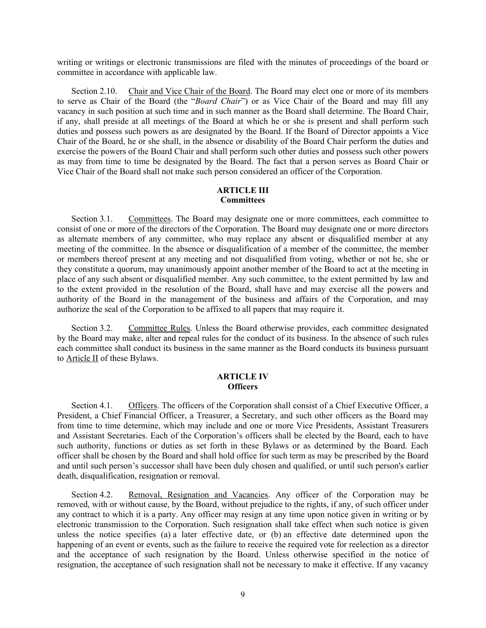writing or writings or electronic transmissions are filed with the minutes of proceedings of the board or committee in accordance with applicable law.

<span id="page-11-0"></span>Section 2.10. Chair and Vice Chair of the Board. The Board may elect one or more of its members to serve as Chair of the Board (the "*Board Chair*") or as Vice Chair of the Board and may fill any vacancy in such position at such time and in such manner as the Board shall determine. The Board Chair, if any, shall preside at all meetings of the Board at which he or she is present and shall perform such duties and possess such powers as are designated by the Board. If the Board of Director appoints a Vice Chair of the Board, he or she shall, in the absence or disability of the Board Chair perform the duties and exercise the powers of the Board Chair and shall perform such other duties and possess such other powers as may from time to time be designated by the Board. The fact that a person serves as Board Chair or Vice Chair of the Board shall not make such person considered an officer of the Corporation.

### <span id="page-11-1"></span>**ARTICLE III Committees**

<span id="page-11-2"></span>Section 3.1. Committees. The Board may designate one or more committees, each committee to consist of one or more of the directors of the Corporation. The Board may designate one or more directors as alternate members of any committee, who may replace any absent or disqualified member at any meeting of the committee. In the absence or disqualification of a member of the committee, the member or members thereof present at any meeting and not disqualified from voting, whether or not he, she or they constitute a quorum, may unanimously appoint another member of the Board to act at the meeting in place of any such absent or disqualified member. Any such committee, to the extent permitted by law and to the extent provided in the resolution of the Board, shall have and may exercise all the powers and authority of the Board in the management of the business and affairs of the Corporation, and may authorize the seal of the Corporation to be affixed to all papers that may require it.

<span id="page-11-3"></span>Section 3.2. Committee Rules. Unless the Board otherwise provides, each committee designated by the Board may make, alter and repeal rules for the conduct of its business. In the absence of such rules each committee shall conduct its business in the same manner as the Board conducts its business pursuant to Article II of these Bylaws.

### <span id="page-11-4"></span>**ARTICLE IV Officers**

<span id="page-11-5"></span>Section 4.1. Officers. The officers of the Corporation shall consist of a Chief Executive Officer, a President, a Chief Financial Officer, a Treasurer, a Secretary, and such other officers as the Board may from time to time determine, which may include and one or more Vice Presidents, Assistant Treasurers and Assistant Secretaries. Each of the Corporation's officers shall be elected by the Board, each to have such authority, functions or duties as set forth in these Bylaws or as determined by the Board. Each officer shall be chosen by the Board and shall hold office for such term as may be prescribed by the Board and until such person's successor shall have been duly chosen and qualified, or until such person's earlier death, disqualification, resignation or removal.

<span id="page-11-6"></span>Section 4.2. Removal, Resignation and Vacancies. Any officer of the Corporation may be removed, with or without cause, by the Board, without prejudice to the rights, if any, of such officer under any contract to which it is a party. Any officer may resign at any time upon notice given in writing or by electronic transmission to the Corporation. Such resignation shall take effect when such notice is given unless the notice specifies (a) a later effective date, or (b) an effective date determined upon the happening of an event or events, such as the failure to receive the required vote for reelection as a director and the acceptance of such resignation by the Board. Unless otherwise specified in the notice of resignation, the acceptance of such resignation shall not be necessary to make it effective. If any vacancy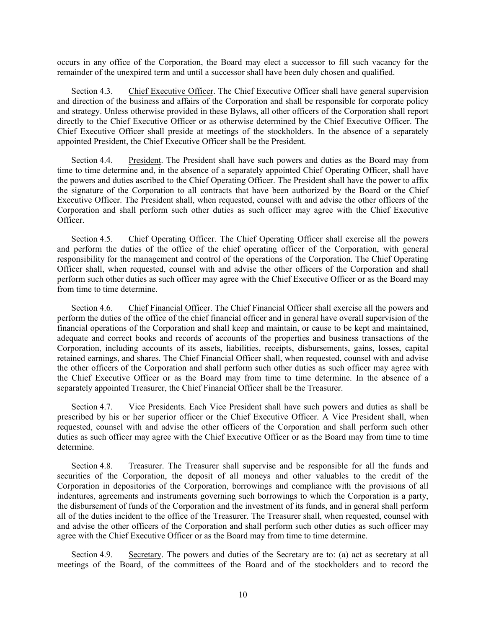occurs in any office of the Corporation, the Board may elect a successor to fill such vacancy for the remainder of the unexpired term and until a successor shall have been duly chosen and qualified.

<span id="page-12-0"></span>Section 4.3. Chief Executive Officer. The Chief Executive Officer shall have general supervision and direction of the business and affairs of the Corporation and shall be responsible for corporate policy and strategy. Unless otherwise provided in these Bylaws, all other officers of the Corporation shall report directly to the Chief Executive Officer or as otherwise determined by the Chief Executive Officer. The Chief Executive Officer shall preside at meetings of the stockholders. In the absence of a separately appointed President, the Chief Executive Officer shall be the President.

<span id="page-12-1"></span>Section 4.4. President. The President shall have such powers and duties as the Board may from time to time determine and, in the absence of a separately appointed Chief Operating Officer, shall have the powers and duties ascribed to the Chief Operating Officer. The President shall have the power to affix the signature of the Corporation to all contracts that have been authorized by the Board or the Chief Executive Officer. The President shall, when requested, counsel with and advise the other officers of the Corporation and shall perform such other duties as such officer may agree with the Chief Executive Officer.

<span id="page-12-2"></span>Section 4.5. Chief Operating Officer. The Chief Operating Officer shall exercise all the powers and perform the duties of the office of the chief operating officer of the Corporation, with general responsibility for the management and control of the operations of the Corporation. The Chief Operating Officer shall, when requested, counsel with and advise the other officers of the Corporation and shall perform such other duties as such officer may agree with the Chief Executive Officer or as the Board may from time to time determine.

<span id="page-12-3"></span>Section 4.6. Chief Financial Officer. The Chief Financial Officer shall exercise all the powers and perform the duties of the office of the chief financial officer and in general have overall supervision of the financial operations of the Corporation and shall keep and maintain, or cause to be kept and maintained, adequate and correct books and records of accounts of the properties and business transactions of the Corporation, including accounts of its assets, liabilities, receipts, disbursements, gains, losses, capital retained earnings, and shares. The Chief Financial Officer shall, when requested, counsel with and advise the other officers of the Corporation and shall perform such other duties as such officer may agree with the Chief Executive Officer or as the Board may from time to time determine. In the absence of a separately appointed Treasurer, the Chief Financial Officer shall be the Treasurer.

<span id="page-12-4"></span>Section 4.7. Vice Presidents. Each Vice President shall have such powers and duties as shall be prescribed by his or her superior officer or the Chief Executive Officer. A Vice President shall, when requested, counsel with and advise the other officers of the Corporation and shall perform such other duties as such officer may agree with the Chief Executive Officer or as the Board may from time to time determine.

<span id="page-12-5"></span>Section 4.8. Treasurer. The Treasurer shall supervise and be responsible for all the funds and securities of the Corporation, the deposit of all moneys and other valuables to the credit of the Corporation in depositories of the Corporation, borrowings and compliance with the provisions of all indentures, agreements and instruments governing such borrowings to which the Corporation is a party, the disbursement of funds of the Corporation and the investment of its funds, and in general shall perform all of the duties incident to the office of the Treasurer. The Treasurer shall, when requested, counsel with and advise the other officers of the Corporation and shall perform such other duties as such officer may agree with the Chief Executive Officer or as the Board may from time to time determine.

<span id="page-12-6"></span>Section 4.9. Secretary. The powers and duties of the Secretary are to: (a) act as secretary at all meetings of the Board, of the committees of the Board and of the stockholders and to record the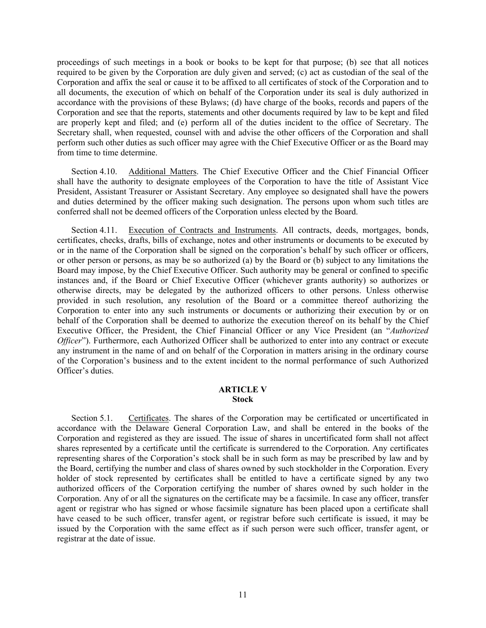proceedings of such meetings in a book or books to be kept for that purpose; (b) see that all notices required to be given by the Corporation are duly given and served; (c) act as custodian of the seal of the Corporation and affix the seal or cause it to be affixed to all certificates of stock of the Corporation and to all documents, the execution of which on behalf of the Corporation under its seal is duly authorized in accordance with the provisions of these Bylaws; (d) have charge of the books, records and papers of the Corporation and see that the reports, statements and other documents required by law to be kept and filed are properly kept and filed; and (e) perform all of the duties incident to the office of Secretary. The Secretary shall, when requested, counsel with and advise the other officers of the Corporation and shall perform such other duties as such officer may agree with the Chief Executive Officer or as the Board may from time to time determine.

<span id="page-13-0"></span>Section 4.10. Additional Matters. The Chief Executive Officer and the Chief Financial Officer shall have the authority to designate employees of the Corporation to have the title of Assistant Vice President, Assistant Treasurer or Assistant Secretary. Any employee so designated shall have the powers and duties determined by the officer making such designation. The persons upon whom such titles are conferred shall not be deemed officers of the Corporation unless elected by the Board.

<span id="page-13-1"></span>Section 4.11. Execution of Contracts and Instruments. All contracts, deeds, mortgages, bonds, certificates, checks, drafts, bills of exchange, notes and other instruments or documents to be executed by or in the name of the Corporation shall be signed on the corporation's behalf by such officer or officers, or other person or persons, as may be so authorized (a) by the Board or (b) subject to any limitations the Board may impose, by the Chief Executive Officer. Such authority may be general or confined to specific instances and, if the Board or Chief Executive Officer (whichever grants authority) so authorizes or otherwise directs, may be delegated by the authorized officers to other persons. Unless otherwise provided in such resolution, any resolution of the Board or a committee thereof authorizing the Corporation to enter into any such instruments or documents or authorizing their execution by or on behalf of the Corporation shall be deemed to authorize the execution thereof on its behalf by the Chief Executive Officer, the President, the Chief Financial Officer or any Vice President (an "*Authorized Officer*"). Furthermore, each Authorized Officer shall be authorized to enter into any contract or execute any instrument in the name of and on behalf of the Corporation in matters arising in the ordinary course of the Corporation's business and to the extent incident to the normal performance of such Authorized Officer's duties.

### <span id="page-13-2"></span>**ARTICLE V Stock**

<span id="page-13-3"></span>Section 5.1. Certificates. The shares of the Corporation may be certificated or uncertificated in accordance with the Delaware General Corporation Law, and shall be entered in the books of the Corporation and registered as they are issued. The issue of shares in uncertificated form shall not affect shares represented by a certificate until the certificate is surrendered to the Corporation. Any certificates representing shares of the Corporation's stock shall be in such form as may be prescribed by law and by the Board, certifying the number and class of shares owned by such stockholder in the Corporation. Every holder of stock represented by certificates shall be entitled to have a certificate signed by any two authorized officers of the Corporation certifying the number of shares owned by such holder in the Corporation. Any of or all the signatures on the certificate may be a facsimile. In case any officer, transfer agent or registrar who has signed or whose facsimile signature has been placed upon a certificate shall have ceased to be such officer, transfer agent, or registrar before such certificate is issued, it may be issued by the Corporation with the same effect as if such person were such officer, transfer agent, or registrar at the date of issue.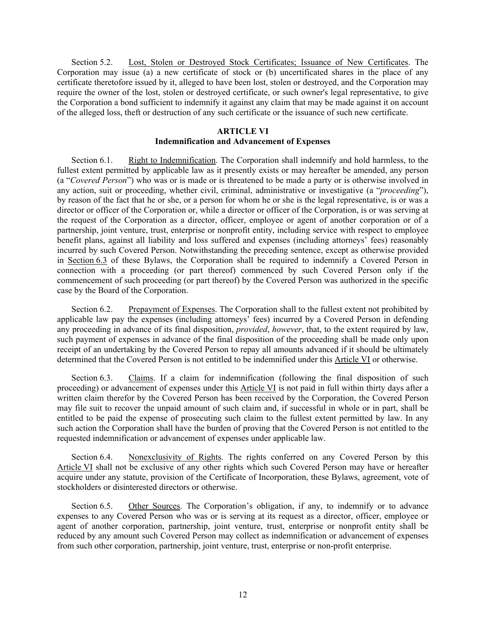<span id="page-14-0"></span>Section 5.2. Lost, Stolen or Destroyed Stock Certificates; Issuance of New Certificates. The Corporation may issue (a) a new certificate of stock or (b) uncertificated shares in the place of any certificate theretofore issued by it, alleged to have been lost, stolen or destroyed, and the Corporation may require the owner of the lost, stolen or destroyed certificate, or such owner's legal representative, to give the Corporation a bond sufficient to indemnify it against any claim that may be made against it on account of the alleged loss, theft or destruction of any such certificate or the issuance of such new certificate.

# <span id="page-14-1"></span>**ARTICLE VI Indemnification and Advancement of Expenses**

<span id="page-14-2"></span>Section 6.1. Right to Indemnification. The Corporation shall indemnify and hold harmless, to the fullest extent permitted by applicable law as it presently exists or may hereafter be amended, any person (a "*Covered Person*") who was or is made or is threatened to be made a party or is otherwise involved in any action, suit or proceeding, whether civil, criminal, administrative or investigative (a "*proceeding*"), by reason of the fact that he or she, or a person for whom he or she is the legal representative, is or was a director or officer of the Corporation or, while a director or officer of the Corporation, is or was serving at the request of the Corporation as a director, officer, employee or agent of another corporation or of a partnership, joint venture, trust, enterprise or nonprofit entity, including service with respect to employee benefit plans, against all liability and loss suffered and expenses (including attorneys' fees) reasonably incurred by such Covered Person. Notwithstanding the preceding sentence, except as otherwise provided in Section 6.3 of these Bylaws, the Corporation shall be required to indemnify a Covered Person in connection with a proceeding (or part thereof) commenced by such Covered Person only if the commencement of such proceeding (or part thereof) by the Covered Person was authorized in the specific case by the Board of the Corporation.

<span id="page-14-3"></span>Section 6.2. Prepayment of Expenses. The Corporation shall to the fullest extent not prohibited by applicable law pay the expenses (including attorneys' fees) incurred by a Covered Person in defending any proceeding in advance of its final disposition, *provided*, *however*, that, to the extent required by law, such payment of expenses in advance of the final disposition of the proceeding shall be made only upon receipt of an undertaking by the Covered Person to repay all amounts advanced if it should be ultimately determined that the Covered Person is not entitled to be indemnified under this Article VI or otherwise.

<span id="page-14-4"></span>Section 6.3. Claims. If a claim for indemnification (following the final disposition of such proceeding) or advancement of expenses under this Article VI is not paid in full within thirty days after a written claim therefor by the Covered Person has been received by the Corporation, the Covered Person may file suit to recover the unpaid amount of such claim and, if successful in whole or in part, shall be entitled to be paid the expense of prosecuting such claim to the fullest extent permitted by law. In any such action the Corporation shall have the burden of proving that the Covered Person is not entitled to the requested indemnification or advancement of expenses under applicable law.

<span id="page-14-5"></span>Section 6.4. Nonexclusivity of Rights. The rights conferred on any Covered Person by this Article VI shall not be exclusive of any other rights which such Covered Person may have or hereafter acquire under any statute, provision of the Certificate of Incorporation, these Bylaws, agreement, vote of stockholders or disinterested directors or otherwise.

<span id="page-14-6"></span>Section 6.5. Other Sources. The Corporation's obligation, if any, to indemnify or to advance expenses to any Covered Person who was or is serving at its request as a director, officer, employee or agent of another corporation, partnership, joint venture, trust, enterprise or nonprofit entity shall be reduced by any amount such Covered Person may collect as indemnification or advancement of expenses from such other corporation, partnership, joint venture, trust, enterprise or non-profit enterprise.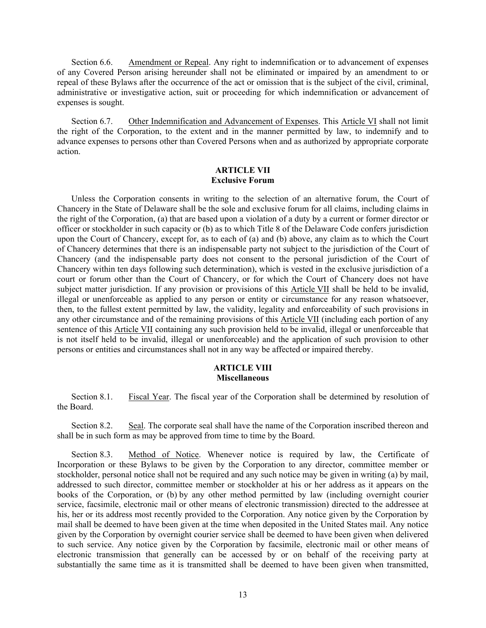<span id="page-15-0"></span>Section 6.6. Amendment or Repeal. Any right to indemnification or to advancement of expenses of any Covered Person arising hereunder shall not be eliminated or impaired by an amendment to or repeal of these Bylaws after the occurrence of the act or omission that is the subject of the civil, criminal, administrative or investigative action, suit or proceeding for which indemnification or advancement of expenses is sought.

<span id="page-15-1"></span>Section 6.7. Other Indemnification and Advancement of Expenses. This Article VI shall not limit the right of the Corporation, to the extent and in the manner permitted by law, to indemnify and to advance expenses to persons other than Covered Persons when and as authorized by appropriate corporate action.

# <span id="page-15-2"></span>**ARTICLE VII Exclusive Forum**

Unless the Corporation consents in writing to the selection of an alternative forum, the Court of Chancery in the State of Delaware shall be the sole and exclusive forum for all claims, including claims in the right of the Corporation, (a) that are based upon a violation of a duty by a current or former director or officer or stockholder in such capacity or (b) as to which Title 8 of the Delaware Code confers jurisdiction upon the Court of Chancery, except for, as to each of (a) and (b) above, any claim as to which the Court of Chancery determines that there is an indispensable party not subject to the jurisdiction of the Court of Chancery (and the indispensable party does not consent to the personal jurisdiction of the Court of Chancery within ten days following such determination), which is vested in the exclusive jurisdiction of a court or forum other than the Court of Chancery, or for which the Court of Chancery does not have subject matter jurisdiction. If any provision or provisions of this Article VII shall be held to be invalid, illegal or unenforceable as applied to any person or entity or circumstance for any reason whatsoever, then, to the fullest extent permitted by law, the validity, legality and enforceability of such provisions in any other circumstance and of the remaining provisions of this Article VII (including each portion of any sentence of this Article VII containing any such provision held to be invalid, illegal or unenforceable that is not itself held to be invalid, illegal or unenforceable) and the application of such provision to other persons or entities and circumstances shall not in any way be affected or impaired thereby.

# <span id="page-15-3"></span>**ARTICLE VIII Miscellaneous**

<span id="page-15-4"></span>Section 8.1. Fiscal Year. The fiscal year of the Corporation shall be determined by resolution of the Board.

<span id="page-15-5"></span>Section 8.2. Seal. The corporate seal shall have the name of the Corporation inscribed thereon and shall be in such form as may be approved from time to time by the Board.

<span id="page-15-6"></span>Section 8.3. Method of Notice. Whenever notice is required by law, the Certificate of Incorporation or these Bylaws to be given by the Corporation to any director, committee member or stockholder, personal notice shall not be required and any such notice may be given in writing (a) by mail, addressed to such director, committee member or stockholder at his or her address as it appears on the books of the Corporation, or (b) by any other method permitted by law (including overnight courier service, facsimile, electronic mail or other means of electronic transmission) directed to the addressee at his, her or its address most recently provided to the Corporation. Any notice given by the Corporation by mail shall be deemed to have been given at the time when deposited in the United States mail. Any notice given by the Corporation by overnight courier service shall be deemed to have been given when delivered to such service. Any notice given by the Corporation by facsimile, electronic mail or other means of electronic transmission that generally can be accessed by or on behalf of the receiving party at substantially the same time as it is transmitted shall be deemed to have been given when transmitted,